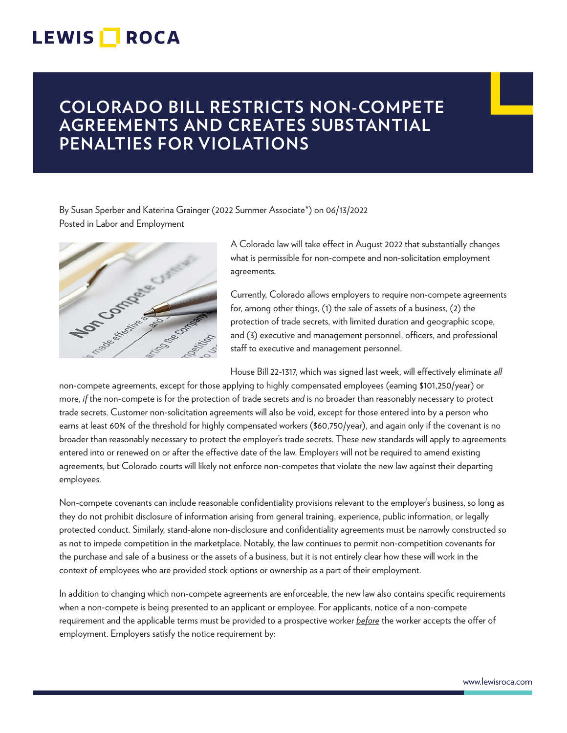## **LEWIS ROCA**

## **COLORADO BILL RESTRICTS NON-COMPETE AGREEMENTS AND CREATES SUBSTANTIAL PENALTIES FOR VIOLATIONS**

By Susan Sperber and Katerina Grainger (2022 Summer Associate\*) on 06/13/2022 Posted in Labor and Employment



A Colorado law will take effect in August 2022 that substantially changes what is permissible for non-compete and non-solicitation employment agreements.

Currently, Colorado allows employers to require non-compete agreements for, among other things, (1) the sale of assets of a business, (2) the protection of trade secrets, with limited duration and geographic scope, and (3) executive and management personnel, officers, and professional staff to executive and management personnel.

House Bill 22-1317, which was signed last week, will effectively eliminate *all*

non-compete agreements, except for those applying to highly compensated employees (earning \$101,250/year) or more, *if* the non-compete is for the protection of trade secrets *and* is no broader than reasonably necessary to protect trade secrets. Customer non-solicitation agreements will also be void, except for those entered into by a person who earns at least 60% of the threshold for highly compensated workers (\$60,750/year), and again only if the covenant is no broader than reasonably necessary to protect the employer's trade secrets. These new standards will apply to agreements entered into or renewed on or after the effective date of the law. Employers will not be required to amend existing agreements, but Colorado courts will likely not enforce non-competes that violate the new law against their departing employees.

Non-compete covenants can include reasonable confidentiality provisions relevant to the employer's business, so long as they do not prohibit disclosure of information arising from general training, experience, public information, or legally protected conduct. Similarly, stand-alone non-disclosure and confidentiality agreements must be narrowly constructed so as not to impede competition in the marketplace. Notably, the law continues to permit non-competition covenants for the purchase and sale of a business or the assets of a business, but it is not entirely clear how these will work in the context of employees who are provided stock options or ownership as a part of their employment.

In addition to changing which non-compete agreements are enforceable, the new law also contains specific requirements when a non-compete is being presented to an applicant or employee. For applicants, notice of a non-compete requirement and the applicable terms must be provided to a prospective worker *before* the worker accepts the offer of employment. Employers satisfy the notice requirement by: